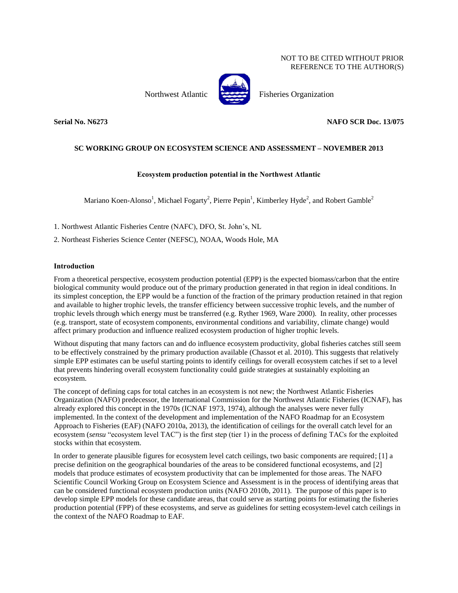## NOT TO BE CITED WITHOUT PRIOR REFERENCE TO THE AUTHOR(S)

Northwest Atlantic Fisheries Organization



**Serial No. N6273 NAFO SCR Doc. 13/075**

# **SC WORKING GROUP ON ECOSYSTEM SCIENCE AND ASSESSMENT – NOVEMBER 2013**

# **Ecosystem production potential in the Northwest Atlantic**

Mariano Koen-Alonso<sup>1</sup>, Michael Fogarty<sup>2</sup>, Pierre Pepin<sup>1</sup>, Kimberley Hyde<sup>2</sup>, and Robert Gamble<sup>2</sup>

1. Northwest Atlantic Fisheries Centre (NAFC), DFO, St. John's, NL

2. Northeast Fisheries Science Center (NEFSC), NOAA, Woods Hole, MA

## **Introduction**

From a theoretical perspective, ecosystem production potential (EPP) is the expected biomass/carbon that the entire biological community would produce out of the primary production generated in that region in ideal conditions. In its simplest conception, the EPP would be a function of the fraction of the primary production retained in that region and available to higher trophic levels, the transfer efficiency between successive trophic levels, and the number of trophic levels through which energy must be transferred (e.g. Ryther 1969, Ware 2000). In reality, other processes (e.g. transport, state of ecosystem components, environmental conditions and variability, climate change) would affect primary production and influence realized ecosystem production of higher trophic levels.

Without disputing that many factors can and do influence ecosystem productivity, global fisheries catches still seem to be effectively constrained by the primary production available (Chassot et al. 2010). This suggests that relatively simple EPP estimates can be useful starting points to identify ceilings for overall ecosystem catches if set to a level that prevents hindering overall ecosystem functionality could guide strategies at sustainably exploiting an ecosystem.

The concept of defining caps for total catches in an ecosystem is not new; the Northwest Atlantic Fisheries Organization (NAFO) predecessor, the International Commission for the Northwest Atlantic Fisheries (ICNAF), has already explored this concept in the 1970s (ICNAF 1973, 1974), although the analyses were never fully implemented. In the context of the development and implementation of the NAFO Roadmap for an Ecosystem Approach to Fisheries (EAF) (NAFO 2010a, 2013), the identification of ceilings for the overall catch level for an ecosystem (*sensu* "ecosystem level TAC") is the first step (tier 1) in the process of defining TACs for the exploited stocks within that ecosystem.

In order to generate plausible figures for ecosystem level catch ceilings, two basic components are required; [1] a precise definition on the geographical boundaries of the areas to be considered functional ecosystems, and [2] models that produce estimates of ecosystem productivity that can be implemented for those areas. The NAFO Scientific Council Working Group on Ecosystem Science and Assessment is in the process of identifying areas that can be considered functional ecosystem production units (NAFO 2010b, 2011). The purpose of this paper is to develop simple EPP models for these candidate areas, that could serve as starting points for estimating the fisheries production potential (FPP) of these ecosystems, and serve as guidelines for setting ecosystem-level catch ceilings in the context of the NAFO Roadmap to EAF.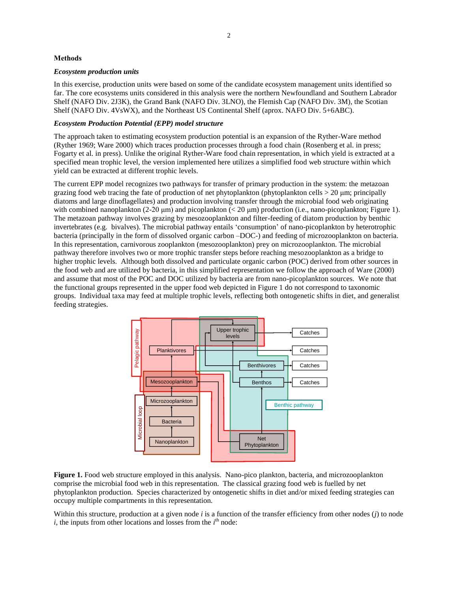## **Methods**

#### *Ecosystem production units*

In this exercise, production units were based on some of the candidate ecosystem management units identified so far. The core ecosystems units considered in this analysis were the northern Newfoundland and Southern Labrador Shelf (NAFO Div. 2J3K), the Grand Bank (NAFO Div. 3LNO), the Flemish Cap (NAFO Div. 3M), the Scotian Shelf (NAFO Div. 4VsWX), and the Northeast US Continental Shelf (aprox. NAFO Div. 5+6ABC).

## *Ecosystem Production Potential (EPP) model structure*

The approach taken to estimating ecosystem production potential is an expansion of the Ryther-Ware method (Ryther 1969; Ware 2000) which traces production processes through a food chain (Rosenberg et al. in press; Fogarty et al. in press). Unlike the original Ryther-Ware food chain representation, in which yield is extracted at a specified mean trophic level, the version implemented here utilizes a simplified food web structure within which yield can be extracted at different trophic levels.

The current EPP model recognizes two pathways for transfer of primary production in the system: the metazoan grazing food web tracing the fate of production of net phytoplankton (phytoplankton cells > 20 μm; principally diatoms and large dinoflagellates) and production involving transfer through the microbial food web originating with combined nanoplankton  $(2-20 \mu m)$  and picoplankton  $( $20 \mu m$ ) production (i.e., nano-picoplankton; Figure 1).$ The metazoan pathway involves grazing by mesozooplankton and filter-feeding of diatom production by benthic invertebrates (e.g. bivalves). The microbial pathway entails 'consumption' of nano-picoplankton by heterotrophic bacteria (principally in the form of dissolved organic carbon –DOC-) and feeding of microzooplankton on bacteria. In this representation, carnivorous zooplankton (mesozooplankton) prey on microzooplankton. The microbial pathway therefore involves two or more trophic transfer steps before reaching mesozooplankton as a bridge to higher trophic levels. Although both dissolved and particulate organic carbon (POC) derived from other sources in the food web and are utilized by bacteria, in this simplified representation we follow the approach of Ware (2000) and assume that most of the POC and DOC utilized by bacteria are from nano-picoplankton sources. We note that the functional groups represented in the upper food web depicted in Figure 1 do not correspond to taxonomic groups. Individual taxa may feed at multiple trophic levels, reflecting both ontogenetic shifts in diet, and generalist feeding strategies.



**Figure 1.** Food web structure employed in this analysis. Nano-pico plankton, bacteria, and microzooplankton comprise the microbial food web in this representation. The classical grazing food web is fuelled by net phytoplankton production. Species characterized by ontogenetic shifts in diet and/or mixed feeding strategies can occupy multiple compartments in this representation.

Within this structure, production at a given node *i* is a function of the transfer efficiency from other nodes (*j*) to node  $i$ , the inputs from other locations and losses from the  $i<sup>th</sup>$  node: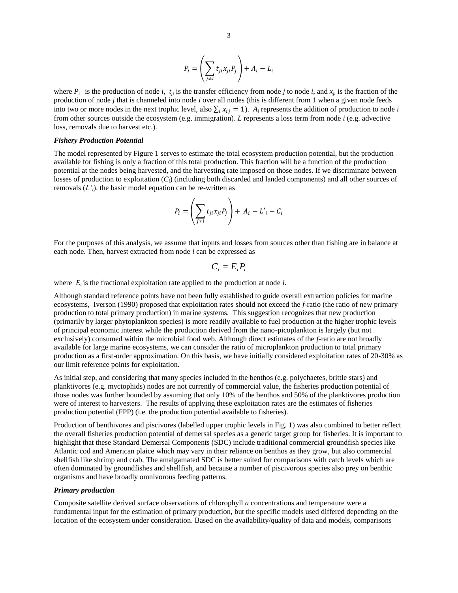$$
P_i = \left(\sum_{j\neq i} t_{ji} x_{ji} P_j\right) + A_i - L_i
$$

where  $P_i$  is the production of node *i*,  $t_{ij}$  is the transfer efficiency from node *j* to node *i*, and  $x_{ji}$  is the fraction of the production of node *j* that is channeled into node *i* over all nodes (this is different from 1 when a given node feeds into two or more nodes in the next trophic level, also  $\sum_i x_{ij} = 1$ ). *A<sub>i</sub>* represents the addition of production to node *i* from other sources outside the ecosystem (e.g. immigration). *L* represents a loss term from node *i* (e.g. advective loss, removals due to harvest etc.).

### *Fishery Production Potential*

The model represented by Figure 1 serves to estimate the total ecosystem production potential, but the production available for fishing is only a fraction of this total production. This fraction will be a function of the production potential at the nodes being harvested, and the harvesting rate imposed on those nodes. If we discriminate between losses of production to exploitation (*Ci*) (including both discarded and landed components) and all other sources of removals  $(L<sub>i</sub>)$ , the basic model equation can be re-written as

$$
P_i = \left(\sum_{j\neq i} t_{ji} x_{ji} P_j\right) + A_i - L'_i - C_i
$$

For the purposes of this analysis, we assume that inputs and losses from sources other than fishing are in balance at each node. Then, harvest extracted from node *i* can be expressed as

$$
C_i = E_i P_i
$$

where  $E_i$  is the fractional exploitation rate applied to the production at node  $i$ .

Although standard reference points have not been fully established to guide overall extraction policies for marine ecosystems, Iverson (1990) proposed that exploitation rates should not exceed the *f*-ratio (the ratio of new primary production to total primary production) in marine systems. This suggestion recognizes that new production (primarily by larger phytoplankton species) is more readily available to fuel production at the higher trophic levels of principal economic interest while the production derived from the nano-picoplankton is largely (but not exclusively) consumed within the microbial food web. Although direct estimates of the *f*-ratio are not broadly available for large marine ecosystems, we can consider the ratio of microplankton production to total primary production as a first-order approximation. On this basis, we have initially considered exploitation rates of 20-30% as our limit reference points for exploitation.

As initial step, and considering that many species included in the benthos (e.g. polychaetes, brittle stars) and planktivores (e.g. myctophids) nodes are not currently of commercial value, the fisheries production potential of those nodes was further bounded by assuming that only 10% of the benthos and 50% of the planktivores production were of interest to harvesters. The results of applying these exploitation rates are the estimates of fisheries production potential (FPP) (i.e. the production potential available to fisheries).

Production of benthivores and piscivores (labelled upper trophic levels in Fig. 1) was also combined to better reflect the overall fisheries production potential of demersal species as a generic target group for fisheries. It is important to highlight that these Standard Demersal Components (SDC) include traditional commercial groundfish species like Atlantic cod and American plaice which may vary in their reliance on benthos as they grow, but also commercial shellfish like shrimp and crab. The amalgamated SDC is better suited for comparisons with catch levels which are often dominated by groundfishes and shellfish, and because a number of piscivorous species also prey on benthic organisms and have broadly omnivorous feeding patterns.

#### *Primary production*

Composite satellite derived surface observations of chlorophyll *a* concentrations and temperature were a fundamental input for the estimation of primary production, but the specific models used differed depending on the location of the ecosystem under consideration. Based on the availability/quality of data and models, comparisons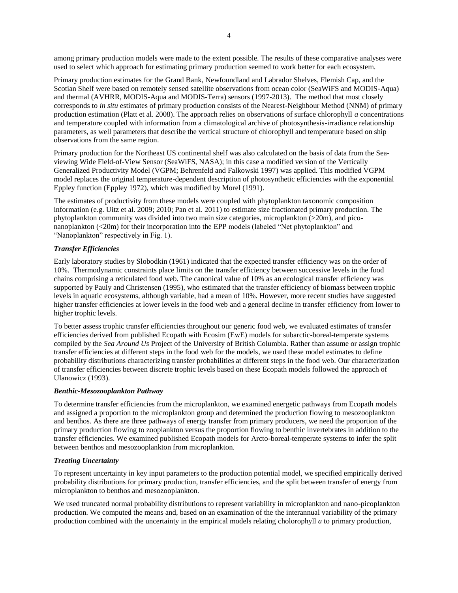among primary production models were made to the extent possible. The results of these comparative analyses were used to select which approach for estimating primary production seemed to work better for each ecosystem.

Primary production estimates for the Grand Bank, Newfoundland and Labrador Shelves, Flemish Cap, and the Scotian Shelf were based on remotely sensed satellite observations from ocean color (SeaWiFS and MODIS-Aqua) and thermal (AVHRR, MODIS-Aqua and MODIS-Terra) sensors (1997-2013). The method that most closely corresponds to *in situ* estimates of primary production consists of the Nearest-Neighbour Method (NNM) of primary production estimation (Platt et al. 2008). The approach relies on observations of surface chlorophyll *a* concentrations and temperature coupled with information from a climatological archive of photosynthesis-irradiance relationship parameters, as well parameters that describe the vertical structure of chlorophyll and temperature based on ship observations from the same region.

Primary production for the Northeast US continental shelf was also calculated on the basis of data from the Seaviewing Wide Field-of-View Sensor (SeaWiFS, NASA); in this case a modified version of the Vertically Generalized Productivity Model (VGPM; Behrenfeld and Falkowski 1997) was applied. This modified VGPM model replaces the original temperature-dependent description of photosynthetic efficiencies with the exponential Eppley function (Eppley 1972), which was modified by Morel (1991).

The estimates of productivity from these models were coupled with phytoplankton taxonomic composition information (e.g. Uitz et al. 2009; 2010; Pan et al. 2011) to estimate size fractionated primary production. The phytoplankton community was divided into two main size categories, microplankton (>20m), and piconanoplankton (<20m) for their incorporation into the EPP models (labeled "Net phytoplankton" and "Nanoplankton" respectively in Fig. 1).

## *Transfer Efficiencies*

Early laboratory studies by Slobodkin (1961) indicated that the expected transfer efficiency was on the order of 10%. Thermodynamic constraints place limits on the transfer efficiency between successive levels in the food chains comprising a reticulated food web. The canonical value of 10% as an ecological transfer efficiency was supported by Pauly and Christensen (1995), who estimated that the transfer efficiency of biomass between trophic levels in aquatic ecosystems, although variable, had a mean of 10%. However, more recent studies have suggested higher transfer efficiencies at lower levels in the food web and a general decline in transfer efficiency from lower to higher trophic levels.

To better assess trophic transfer efficiencies throughout our generic food web, we evaluated estimates of transfer efficiencies derived from published Ecopath with Ecosim (EwE) models for subarctic-boreal-temperate systems compiled by the *Sea Around Us* Project of the University of British Columbia. Rather than assume or assign trophic transfer efficiencies at different steps in the food web for the models, we used these model estimates to define probability distributions characterizing transfer probabilities at different steps in the food web. Our characterization of transfer efficiencies between discrete trophic levels based on these Ecopath models followed the approach of Ulanowicz (1993).

## *Benthic-Mesozooplankton Pathway*

To determine transfer efficiencies from the microplankton, we examined energetic pathways from Ecopath models and assigned a proportion to the microplankton group and determined the production flowing to mesozooplankton and benthos. As there are three pathways of energy transfer from primary producers, we need the proportion of the primary production flowing to zooplankton versus the proportion flowing to benthic invertebrates in addition to the transfer efficiencies. We examined published Ecopath models for Arcto-boreal-temperate systems to infer the split between benthos and mesozooplankton from microplankton.

## *Treating Uncertainty*

To represent uncertainty in key input parameters to the production potential model, we specified empirically derived probability distributions for primary production, transfer efficiencies, and the split between transfer of energy from microplankton to benthos and mesozooplankton.

We used truncated normal probability distributions to represent variability in microplankton and nano-picoplankton production. We computed the means and, based on an examination of the the interannual variability of the primary production combined with the uncertainty in the empirical models relating cholorophyll *a* to primary production,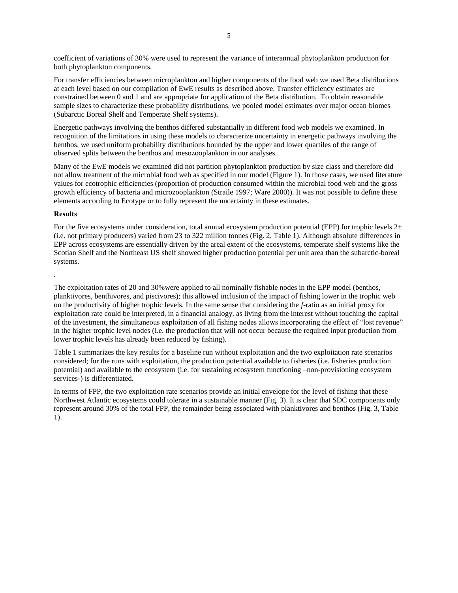coefficient of variations of 30% were used to represent the variance of interannual phytoplankton production for both phytoplankton components.

For transfer efficiencies between microplankton and higher components of the food web we used Beta distributions at each level based on our compilation of EwE results as described above. Transfer efficiency estimates are constrained between 0 and 1 and are appropriate for application of the Beta distribution. To obtain reasonable sample sizes to characterize these probability distributions, we pooled model estimates over major ocean biomes (Subarctic Boreal Shelf and Temperate Shelf systems).

Energetic pathways involving the benthos differed substantially in different food web models we examined. In recognition of the limitations in using these models to characterize uncertainty in energetic pathways involving the benthos, we used uniform probability distributions bounded by the upper and lower quartiles of the range of observed splits between the benthos and mesozooplankton in our analyses.

Many of the EwE models we examined did not partition phytoplankton production by size class and therefore did not allow treatment of the microbial food web as specified in our model (Figure 1). In those cases, we used literature values for ecotrophic efficiencies (proportion of production consumed within the microbial food web and the gross growth efficiency of bacteria and microzooplankton (Straile 1997; Ware 2000)). It was not possible to define these elements according to Ecotype or to fully represent the uncertainty in these estimates.

## **Results**

.

For the five ecosystems under consideration, total annual ecosystem production potential (EPP) for trophic levels  $2+$ (i.e. not primary producers) varied from 23 to 322 million tonnes (Fig. 2, Table 1). Although absolute differences in EPP across ecosystems are essentially driven by the areal extent of the ecosystems, temperate shelf systems like the Scotian Shelf and the Northeast US shelf showed higher production potential per unit area than the subarctic-boreal systems.

The exploitation rates of 20 and 30%were applied to all nominally fishable nodes in the EPP model (benthos, planktivores, benthivores, and piscivores); this allowed inclusion of the impact of fishing lower in the trophic web on the productivity of higher trophic levels. In the same sense that considering the *f*-ratio as an initial proxy for exploitation rate could be interpreted, in a financial analogy, as living from the interest without touching the capital of the investment, the simultaneous exploitation of all fishing nodes allows incorporating the effect of "lost revenue" in the higher trophic level nodes (i.e. the production that will not occur because the required input production from lower trophic levels has already been reduced by fishing).

Table 1 summarizes the key results for a baseline run without exploitation and the two exploitation rate scenarios considered; for the runs with exploitation, the production potential available to fisheries (i.e. fisheries production potential) and available to the ecosystem (i.e. for sustaining ecosystem functioning –non-provisioning ecosystem services-) is differentiated.

In terms of FPP, the two exploitation rate scenarios provide an initial envelope for the level of fishing that these Northwest Atlantic ecosystems could tolerate in a sustainable manner (Fig. 3). It is clear that SDC components only represent around 30% of the total FPP, the remainder being associated with planktivores and benthos (Fig. 3, Table 1).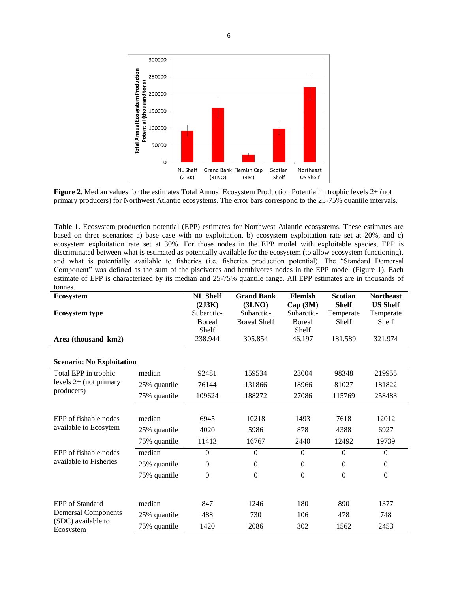

**Figure 2**. Median values for the estimates Total Annual Ecosystem Production Potential in trophic levels 2+ (not primary producers) for Northwest Atlantic ecosystems. The error bars correspond to the 25-75% quantile intervals.

**Table 1**. Ecosystem production potential (EPP) estimates for Northwest Atlantic ecosystems. These estimates are based on three scenarios: a) base case with no exploitation, b) ecosystem exploitation rate set at 20%, and c) ecosystem exploitation rate set at 30%. For those nodes in the EPP model with exploitable species, EPP is discriminated between what is estimated as potentially available for the ecosystem (to allow ecosystem functioning), and what is potentially available to fisheries (i.e. fisheries production potential). The "Standard Demersal Component" was defined as the sum of the piscivores and benthivores nodes in the EPP model (Figure 1). Each estimate of EPP is characterized by its median and 25-75% quantile range. All EPP estimates are in thousands of tonnes.

| ເບມມບ3.<br><b>Ecosystem</b>                                                             |              | <b>NL Shelf</b><br>(2J3K)             | <b>Grand Bank</b><br>(3LNO)       | <b>Flemish</b><br>Cap(3M)            | <b>Scotian</b><br><b>Shelf</b> | <b>Northeast</b><br><b>US Shelf</b> |
|-----------------------------------------------------------------------------------------|--------------|---------------------------------------|-----------------------------------|--------------------------------------|--------------------------------|-------------------------------------|
| <b>Ecosystem type</b>                                                                   |              | Subarctic-<br><b>B</b> oreal<br>Shelf | Subarctic-<br><b>Boreal Shelf</b> | Subarctic-<br><b>Boreal</b><br>Shelf | Temperate<br>Shelf             | Temperate<br>Shelf                  |
| Area (thousand km2)                                                                     |              | 238.944                               | 305.854                           | 46.197                               | 181.589                        | 321.974                             |
| <b>Scenario: No Exploitation</b>                                                        |              |                                       |                                   |                                      |                                |                                     |
| Total EPP in trophic                                                                    | median       | 92481                                 | 159534                            | 23004                                | 98348                          | 219955                              |
| levels $2+$ (not primary                                                                | 25% quantile | 76144                                 | 131866                            | 18966                                | 81027                          | 181822                              |
| producers)                                                                              | 75% quantile | 109624                                | 188272                            | 27086                                | 115769                         | 258483                              |
|                                                                                         |              |                                       |                                   |                                      |                                |                                     |
| EPP of fishable nodes<br>available to Ecosytem                                          | median       | 6945                                  | 10218                             | 1493                                 | 7618                           | 12012                               |
|                                                                                         | 25% quantile | 4020                                  | 5986                              | 878                                  | 4388                           | 6927                                |
|                                                                                         | 75% quantile | 11413                                 | 16767                             | 2440                                 | 12492                          | 19739                               |
| EPP of fishable nodes                                                                   | median       | $\boldsymbol{0}$                      | $\mathbf{0}$                      | $\Omega$                             | $\mathbf{0}$                   | $\mathbf{0}$                        |
| available to Fisheries                                                                  | 25% quantile | $\boldsymbol{0}$                      | $\mathbf{0}$                      | $\mathbf{0}$                         | $\Omega$                       | $\boldsymbol{0}$                    |
|                                                                                         | 75% quantile | $\mathbf{0}$                          | $\mathbf{0}$                      | $\mathbf{0}$                         | $\Omega$                       | $\overline{0}$                      |
|                                                                                         |              |                                       |                                   |                                      |                                |                                     |
| <b>EPP</b> of Standard<br><b>Demersal Components</b><br>(SDC) available to<br>Ecosystem | median       | 847                                   | 1246                              | 180                                  | 890                            | 1377                                |
|                                                                                         | 25% quantile | 488                                   | 730                               | 106                                  | 478                            | 748                                 |
|                                                                                         | 75% quantile | 1420                                  | 2086                              | 302                                  | 1562                           | 2453                                |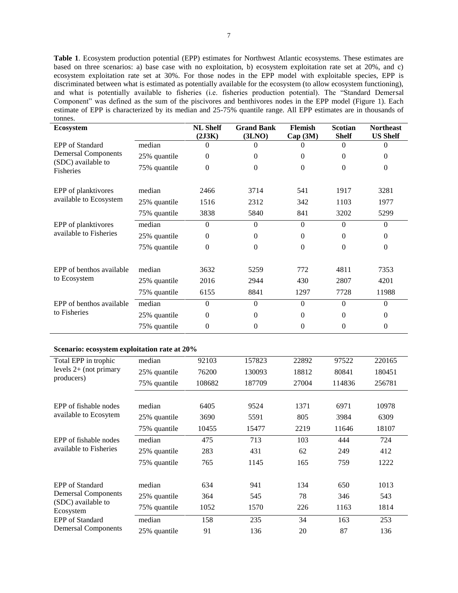**Table 1**. Ecosystem production potential (EPP) estimates for Northwest Atlantic ecosystems. These estimates are based on three scenarios: a) base case with no exploitation, b) ecosystem exploitation rate set at 20%, and c) ecosystem exploitation rate set at 30%. For those nodes in the EPP model with exploitable species, EPP is discriminated between what is estimated as potentially available for the ecosystem (to allow ecosystem functioning), and what is potentially available to fisheries (i.e. fisheries production potential). The "Standard Demersal Component" was defined as the sum of the piscivores and benthivores nodes in the EPP model (Figure 1). Each estimate of EPP is characterized by its median and 25-75% quantile range. All EPP estimates are in thousands of tonnes.

| <b>Ecosystem</b>                              |              | <b>NL Shelf</b><br>(2J3K) | <b>Grand Bank</b><br>(3LNO) | <b>Flemish</b><br>Cap (3M) | <b>Scotian</b><br><b>Shelf</b> | <b>Northeast</b><br><b>US Shelf</b> |
|-----------------------------------------------|--------------|---------------------------|-----------------------------|----------------------------|--------------------------------|-------------------------------------|
| <b>EPP</b> of Standard                        | median       | 0                         | 0                           | 0                          | $\Omega$                       | 0                                   |
| <b>Demersal Components</b>                    | 25% quantile | $\theta$                  | 0                           | 0                          | 0                              | 0                                   |
| (SDC) available to<br>Fisheries               | 75% quantile | $\theta$                  | $\theta$                    | $\Omega$                   | $\theta$                       | $\Omega$                            |
| EPP of planktivores                           | median       | 2466                      | 3714                        | 541                        | 1917                           | 3281                                |
| available to Ecosystem                        | 25% quantile | 1516                      | 2312                        | 342                        | 1103                           | 1977                                |
|                                               | 75% quantile | 3838                      | 5840                        | 841                        | 3202                           | 5299                                |
| EPP of planktivores<br>available to Fisheries | median       | $\Omega$                  | $\Omega$                    | $\Omega$                   | $\theta$                       | $\Omega$                            |
|                                               | 25% quantile | $\theta$                  | $\theta$                    | $\Omega$                   | $\theta$                       | 0                                   |
|                                               | 75% quantile | $\overline{0}$            | $\Omega$                    | $\Omega$                   | $\theta$                       | $\mathbf{0}$                        |
| EPP of benthos available                      | median       | 3632                      | 5259                        | 772                        | 4811                           | 7353                                |
| to Ecosystem                                  | 25% quantile | 2016                      | 2944                        | 430                        | 2807                           | 4201                                |
|                                               | 75% quantile | 6155                      | 8841                        | 1297                       | 7728                           | 11988                               |
| EPP of benthos available<br>to Fisheries      | median       | $\Omega$                  | $\Omega$                    | $\Omega$                   | $\theta$                       | $\Omega$                            |
|                                               | 25% quantile | $\overline{0}$            | 0                           | 0                          | $\theta$                       | 0                                   |
|                                               | 75% quantile | $\theta$                  | 0                           | 0                          | 0                              | 0                                   |

### **Scenario: ecosystem exploitation rate at 20%**

| Total EPP in trophic<br>levels $2+$ (not primary                                                                                                | median       | 92103  | 157823 | 22892 | 97522  | 220165 |
|-------------------------------------------------------------------------------------------------------------------------------------------------|--------------|--------|--------|-------|--------|--------|
|                                                                                                                                                 | 25% quantile | 76200  | 130093 | 18812 | 80841  | 180451 |
| producers)                                                                                                                                      | 75% quantile | 108682 | 187709 | 27004 | 114836 | 256781 |
|                                                                                                                                                 |              |        |        |       |        |        |
| EPP of fishable nodes                                                                                                                           | median       | 6405   | 9524   | 1371  | 6971   | 10978  |
| available to Ecosytem                                                                                                                           | 25% quantile | 3690   | 5591   | 805   | 3984   | 6309   |
|                                                                                                                                                 | 75% quantile | 10455  | 15477  | 2219  | 11646  | 18107  |
| EPP of fishable nodes<br>available to Fisheries                                                                                                 | median       | 475    | 713    | 103   | 444    | 724    |
|                                                                                                                                                 | 25% quantile | 283    | 431    | 62    | 249    | 412    |
|                                                                                                                                                 | 75% quantile | 765    | 1145   | 165   | 759    | 1222   |
|                                                                                                                                                 |              |        |        |       |        |        |
| <b>EPP</b> of Standard<br><b>Demersal Components</b><br>(SDC) available to<br>Ecosystem<br><b>EPP</b> of Standard<br><b>Demersal Components</b> | median       | 634    | 941    | 134   | 650    | 1013   |
|                                                                                                                                                 | 25% quantile | 364    | 545    | 78    | 346    | 543    |
|                                                                                                                                                 | 75% quantile | 1052   | 1570   | 226   | 1163   | 1814   |
|                                                                                                                                                 | median       | 158    | 235    | 34    | 163    | 253    |
|                                                                                                                                                 | 25% quantile | 91     | 136    | 20    | 87     | 136    |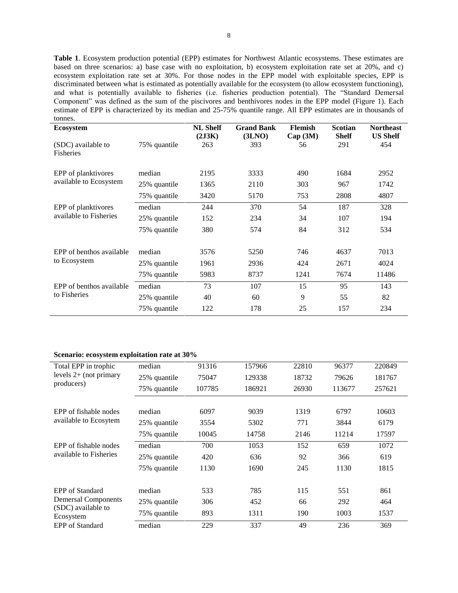**Table 1**. Ecosystem production potential (EPP) estimates for Northwest Atlantic ecosystems. These estimates are based on three scenarios: a) base case with no exploitation, b) ecosystem exploitation rate set at 20%, and c) ecosystem exploitation rate set at 30%. For those nodes in the EPP model with exploitable species, EPP is discriminated between what is estimated as potentially available for the ecosystem (to allow ecosystem functioning), and what is potentially available to fisheries (i.e. fisheries production potential). The "Standard Demersal Component" was defined as the sum of the piscivores and benthivores nodes in the EPP model (Figure 1). Each estimate of EPP is characterized by its median and 25-75% quantile range. All EPP estimates are in thousands of tonnes.

| <b>Ecosystem</b>                         |              | <b>NL Shelf</b><br>(2J3K) | <b>Grand Bank</b><br>(3LNO) | <b>Flemish</b><br>Cap(3M) | <b>Scotian</b><br><b>Shelf</b> | <b>Northeast</b><br><b>US Shelf</b> |
|------------------------------------------|--------------|---------------------------|-----------------------------|---------------------------|--------------------------------|-------------------------------------|
| (SDC) available to<br><b>Fisheries</b>   | 75% quantile | 263                       | 393                         | 56                        | 291                            | 454                                 |
| EPP of planktivores                      | median       | 2195                      | 3333                        | 490                       | 1684                           | 2952                                |
| available to Ecosystem                   | 25% quantile | 1365                      | 2110                        | 303                       | 967                            | 1742                                |
|                                          | 75% quantile | 3420                      | 5170                        | 753                       | 2808                           | 4807                                |
| EPP of planktivores                      | median       | 244                       | 370                         | 54                        | 187                            | 328                                 |
| available to Fisheries                   | 25% quantile | 152                       | 234                         | 34                        | 107                            | 194                                 |
|                                          | 75% quantile | 380                       | 574                         | 84                        | 312                            | 534                                 |
| EPP of benthos available<br>to Ecosystem | median       | 3576                      | 5250                        | 746                       | 4637                           | 7013                                |
|                                          | 25% quantile | 1961                      | 2936                        | 424                       | 2671                           | 4024                                |
|                                          | 75% quantile | 5983                      | 8737                        | 1241                      | 7674                           | 11486                               |
| EPP of benthos available<br>to Fisheries | median       | 73                        | 107                         | 15                        | 95                             | 143                                 |
|                                          | 25% quantile | 40                        | 60                          | 9                         | 55                             | 82                                  |
|                                          | 75% quantile | 122                       | 178                         | 25                        | 157                            | 234                                 |

## **Scenario: ecosystem exploitation rate at 30%**

| Total EPP in trophic                                          | median       | 91316  | 157966 | 22810 | 96377  | 220849 |
|---------------------------------------------------------------|--------------|--------|--------|-------|--------|--------|
| levels $2+$ (not primary                                      | 25% quantile | 75047  | 129338 | 18732 | 79626  | 181767 |
| producers)                                                    | 75% quantile | 107785 | 186921 | 26930 | 113677 | 257621 |
|                                                               |              |        |        |       |        |        |
| EPP of fishable nodes                                         | median       | 6097   | 9039   | 1319  | 6797   | 10603  |
| available to Ecosytem                                         | 25% quantile | 3554   | 5302   | 771   | 3844   | 6179   |
|                                                               | 75% quantile | 10045  | 14758  | 2146  | 11214  | 17597  |
| EPP of fishable nodes                                         | median       | 700    | 1053   | 152   | 659    | 1072   |
| available to Fisheries                                        | 25% quantile | 420    | 636    | 92    | 366    | 619    |
|                                                               | 75% quantile | 1130   | 1690   | 245   | 1130   | 1815   |
| EPP of Standard                                               | median       | 533    | 785    | 115   | 551    | 861    |
| <b>Demersal Components</b><br>(SDC) available to<br>Ecosystem | 25% quantile | 306    | 452    | 66    | 292    | 464    |
|                                                               | 75% quantile | 893    | 1311   | 190   | 1003   | 1537   |
| <b>EPP</b> of Standard                                        | median       | 229    | 337    | 49    | 236    | 369    |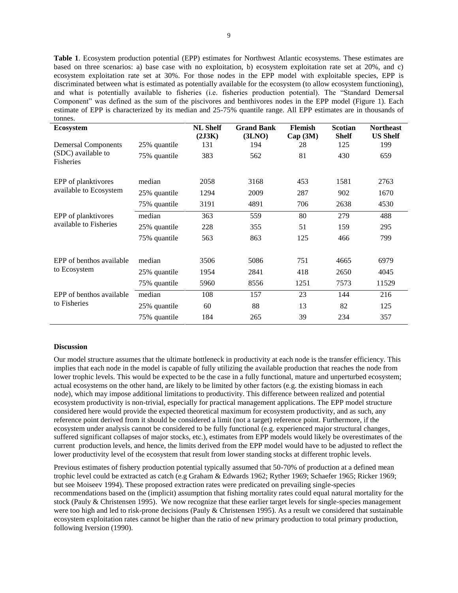**Table 1**. Ecosystem production potential (EPP) estimates for Northwest Atlantic ecosystems. These estimates are based on three scenarios: a) base case with no exploitation, b) ecosystem exploitation rate set at 20%, and c) ecosystem exploitation rate set at 30%. For those nodes in the EPP model with exploitable species, EPP is discriminated between what is estimated as potentially available for the ecosystem (to allow ecosystem functioning), and what is potentially available to fisheries (i.e. fisheries production potential). The "Standard Demersal Component" was defined as the sum of the piscivores and benthivores nodes in the EPP model (Figure 1). Each estimate of EPP is characterized by its median and 25-75% quantile range. All EPP estimates are in thousands of tonnes.

| <b>Ecosystem</b>                         |              | <b>NL Shelf</b><br>(2J3K) | <b>Grand Bank</b><br>(3LNO) | <b>Flemish</b><br>Cap(3M) | <b>Scotian</b><br><b>Shelf</b> | <b>Northeast</b><br><b>US Shelf</b> |
|------------------------------------------|--------------|---------------------------|-----------------------------|---------------------------|--------------------------------|-------------------------------------|
| <b>Demersal Components</b>               | 25% quantile | 131                       | 194                         | 28                        | 125                            | 199                                 |
| (SDC) available to<br>Fisheries          | 75% quantile | 383                       | 562                         | 81                        | 430                            | 659                                 |
| EPP of planktivores                      | median       | 2058                      | 3168                        | 453                       | 1581                           | 2763                                |
| available to Ecosystem                   | 25% quantile | 1294                      | 2009                        | 287                       | 902                            | 1670                                |
|                                          | 75% quantile | 3191                      | 4891                        | 706                       | 2638                           | 4530                                |
| EPP of planktivores                      | median       | 363                       | 559                         | 80                        | 279                            | 488                                 |
| available to Fisheries                   | 25% quantile | 228                       | 355                         | 51                        | 159                            | 295                                 |
|                                          | 75% quantile | 563                       | 863                         | 125                       | 466                            | 799                                 |
| EPP of benthos available                 | median       | 3506                      | 5086                        | 751                       | 4665                           | 6979                                |
| to Ecosystem                             | 25% quantile | 1954                      | 2841                        | 418                       | 2650                           | 4045                                |
|                                          | 75% quantile | 5960                      | 8556                        | 1251                      | 7573                           | 11529                               |
| EPP of benthos available<br>to Fisheries | median       | 108                       | 157                         | 23                        | 144                            | 216                                 |
|                                          | 25% quantile | 60                        | 88                          | 13                        | 82                             | 125                                 |
|                                          | 75% quantile | 184                       | 265                         | 39                        | 234                            | 357                                 |

#### **Discussion**

Our model structure assumes that the ultimate bottleneck in productivity at each node is the transfer efficiency. This implies that each node in the model is capable of fully utilizing the available production that reaches the node from lower trophic levels. This would be expected to be the case in a fully functional, mature and unperturbed ecosystem; actual ecosystems on the other hand, are likely to be limited by other factors (e.g. the existing biomass in each node), which may impose additional limitations to productivity. This difference between realized and potential ecosystem productivity is non-trivial, especially for practical management applications. The EPP model structure considered here would provide the expected theoretical maximum for ecosystem productivity, and as such, any reference point derived from it should be considered a limit (not a target) reference point. Furthermore, if the ecosystem under analysis cannot be considered to be fully functional (e.g. experienced major structural changes, suffered significant collapses of major stocks, etc.), estimates from EPP models would likely be overestimates of the current production levels, and hence, the limits derived from the EPP model would have to be adjusted to reflect the lower productivity level of the ecosystem that result from lower standing stocks at different trophic levels.

Previous estimates of fishery production potential typically assumed that 50-70% of production at a defined mean trophic level could be extracted as catch (e.g Graham & Edwards 1962; Ryther 1969; Schaefer 1965; Ricker 1969; but see Moiseev 1994). These proposed extraction rates were predicated on prevailing single-species recommendations based on the (implicit) assumption that fishing mortality rates could equal natural mortality for the stock (Pauly & Christensen 1995). We now recognize that these earlier target levels for single-species management were too high and led to risk-prone decisions (Pauly & Christensen 1995). As a result we considered that sustainable ecosystem exploitation rates cannot be higher than the ratio of new primary production to total primary production, following Iversion (1990).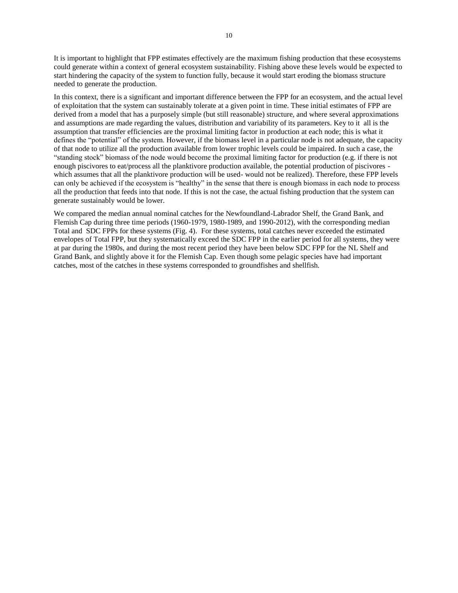It is important to highlight that FPP estimates effectively are the maximum fishing production that these ecosystems could generate within a context of general ecosystem sustainability. Fishing above these levels would be expected to start hindering the capacity of the system to function fully, because it would start eroding the biomass structure needed to generate the production.

In this context, there is a significant and important difference between the FPP for an ecosystem, and the actual level of exploitation that the system can sustainably tolerate at a given point in time. These initial estimates of FPP are derived from a model that has a purposely simple (but still reasonable) structure, and where several approximations and assumptions are made regarding the values, distribution and variability of its parameters. Key to it all is the assumption that transfer efficiencies are the proximal limiting factor in production at each node; this is what it defines the "potential" of the system. However, if the biomass level in a particular node is not adequate, the capacity of that node to utilize all the production available from lower trophic levels could be impaired. In such a case, the "standing stock" biomass of the node would become the proximal limiting factor for production (e.g. if there is not enough piscivores to eat/process all the planktivore production available, the potential production of piscivores which assumes that all the planktivore production will be used-would not be realized). Therefore, these FPP levels can only be achieved if the ecosystem is "healthy" in the sense that there is enough biomass in each node to process all the production that feeds into that node. If this is not the case, the actual fishing production that the system can generate sustainably would be lower.

We compared the median annual nominal catches for the Newfoundland-Labrador Shelf, the Grand Bank, and Flemish Cap during three time periods (1960-1979, 1980-1989, and 1990-2012), with the corresponding median Total and SDC FPPs for these systems (Fig. 4). For these systems, total catches never exceeded the estimated envelopes of Total FPP, but they systematically exceed the SDC FPP in the earlier period for all systems, they were at par during the 1980s, and during the most recent period they have been below SDC FPP for the NL Shelf and Grand Bank, and slightly above it for the Flemish Cap. Even though some pelagic species have had important catches, most of the catches in these systems corresponded to groundfishes and shellfish.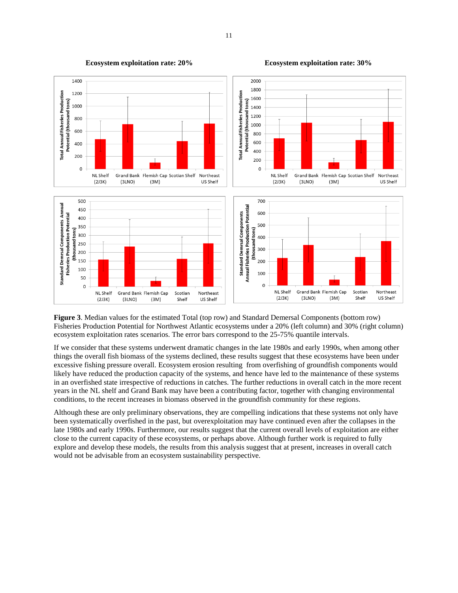

**Ecosystem exploitation rate: 20% Ecosystem exploitation rate: 30%**

**Figure 3**. Median values for the estimated Total (top row) and Standard Demersal Components (bottom row) Fisheries Production Potential for Northwest Atlantic ecosystems under a 20% (left column) and 30% (right column) ecosystem exploitation rates scenarios. The error bars correspond to the 25-75% quantile intervals.

If we consider that these systems underwent dramatic changes in the late 1980s and early 1990s, when among other things the overall fish biomass of the systems declined, these results suggest that these ecosystems have been under excessive fishing pressure overall. Ecosystem erosion resulting from overfishing of groundfish components would likely have reduced the production capacity of the systems, and hence have led to the maintenance of these systems in an overfished state irrespective of reductions in catches. The further reductions in overall catch in the more recent years in the NL shelf and Grand Bank may have been a contributing factor, together with changing environmental conditions, to the recent increases in biomass observed in the groundfish community for these regions.

Although these are only preliminary observations, they are compelling indications that these systems not only have been systematically overfished in the past, but overexploitation may have continued even after the collapses in the late 1980s and early 1990s. Furthermore, our results suggest that the current overall levels of exploitation are either close to the current capacity of these ecosystems, or perhaps above. Although further work is required to fully explore and develop these models, the results from this analysis suggest that at present, increases in overall catch would not be advisable from an ecosystem sustainability perspective.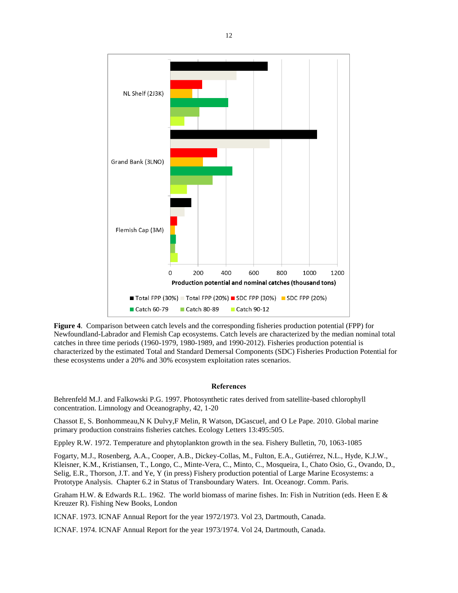

**Figure 4**. Comparison between catch levels and the corresponding fisheries production potential (FPP) for Newfoundland-Labrador and Flemish Cap ecosystems. Catch levels are characterized by the median nominal total catches in three time periods (1960-1979, 1980-1989, and 1990-2012). Fisheries production potential is characterized by the estimated Total and Standard Demersal Components (SDC) Fisheries Production Potential for these ecosystems under a 20% and 30% ecosystem exploitation rates scenarios.

### **References**

Behrenfeld M.J. and Falkowski P.G. 1997. Photosynthetic rates derived from satellite-based chlorophyll concentration. Limnology and Oceanography, 42, 1-20

Chassot E, S. Bonhommeau,N K Dulvy,F Melin, R Watson, DGascuel, and O Le Pape. 2010. Global marine primary production constrains fisheries catches. Ecology Letters 13:495:505.

Eppley R.W. 1972. Temperature and phytoplankton growth in the sea. Fishery Bulletin, 70, 1063-1085

Fogarty, M.J., Rosenberg, A.A., Cooper, A.B., Dickey-Collas, M., Fulton, E.A., Gutiérrez, N.L., Hyde, K.J.W., Kleisner, K.M., Kristiansen, T., Longo, C., Minte-Vera, C., Minto, C., Mosqueira, I., Chato Osio, G., Ovando, D., Selig, E.R., Thorson, J.T. and Ye, Y (in press) Fishery production potential of Large Marine Ecosystems: a Prototype Analysis. Chapter 6.2 in Status of Transboundary Waters. Int. Oceanogr. Comm. Paris.

Graham H.W. & Edwards R.L. 1962. The world biomass of marine fishes. In: Fish in Nutrition (eds. Heen E & Kreuzer R). Fishing New Books, London

ICNAF. 1973. ICNAF Annual Report for the year 1972/1973. Vol 23, Dartmouth, Canada.

ICNAF. 1974. ICNAF Annual Report for the year 1973/1974. Vol 24, Dartmouth, Canada.